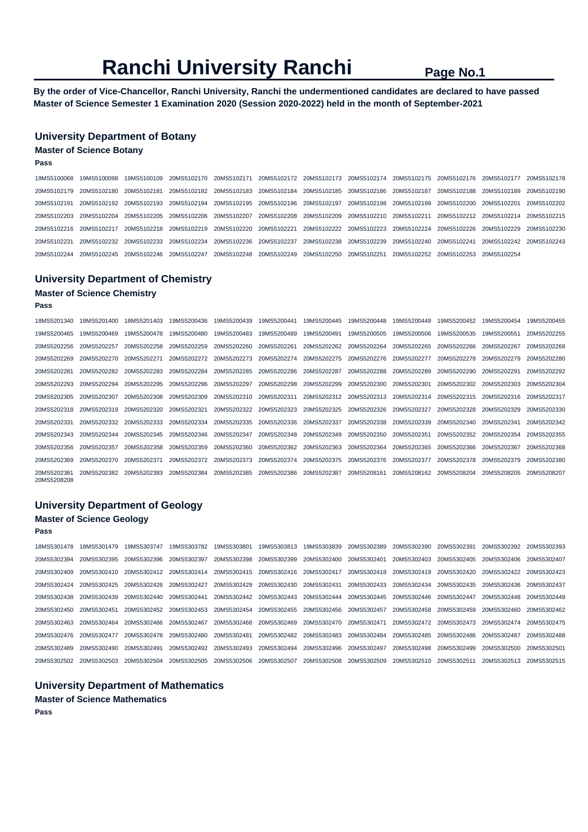**By the order of Vice-Chancellor, Ranchi University, Ranchi the undermentioned candidates are declared to have passed Master of Science Semester 1 Examination 2020 (Session 2020-2022) held in the month of September-2021** 

# **University Department of Botany**

## **Master of Science Botany**

**Pass** 

| 19MS5100068 19MS5100098 19MS5100109 20MS5102170 20MS5102171 20MS5102172 20MS5102173 20MS5102174 20MS5102175 20MS5102176 20MS5102177 20MS5102178             |  |  |  |  |             |
|-------------------------------------------------------------------------------------------------------------------------------------------------------------|--|--|--|--|-------------|
| 20MS5102179 20MS5102180 20MS5102181 20MS5102182 20MS5102183 20MS5102184 20MS5102185 20MS5102186 20MS5102187 20MS5102188 20MS5102189 20MS5102189 20MS5102189 |  |  |  |  |             |
| 20MS5102191 20MS5102192 20MS5102193 20MS5102194 20MS5102195 20MS5102196 20MS5102197 20MS5102198 20MS5102199 20MS5102200 20MS5102201                         |  |  |  |  | 20MS5102202 |
| 20MS5102203 20MS5102204 20MS5102205 20MS5102206 20MS5102207 20MS5102208 20MS5102209 20MS5102210 20MS5102211 20MS5102212 20MS5102214 20MS5102215             |  |  |  |  |             |
| 20MS5102216 20MS5102217 20MS5102218 20MS5102219 20MS5102220 20MS5102221 20MS5102222 20MS5102223 20MS5102224 20MS5102226 20MS5102229 20MS5102229             |  |  |  |  |             |
| 20MS5102231 20MS5102232 20MS5102233 20MS5102234 20MS5102236 20MS5102237 20MS5102238 20MS5102239 20MS5102240 20MS5102241 20MS5102242 20MS5102243             |  |  |  |  |             |
| 20MS5102244 20MS5102245 20MS5102246 20MS5102247 20MS5102248 20MS5102249 20MS5102250 20MS5102251 20MS5102252 20MS5102253 20MS5102254                         |  |  |  |  |             |

## **University Department of Chemistry**

# **Master of Science Chemistry**

**Pass** 

| 18MS5201340                | 18MS5201400 | 18MS5201403 | 19MS5200436 | 19MS5200439 | 19MS5200441 | 19MS5200445 | 19MS5200448             | 19MS5200449 | 19MS5200452 | 19MS5200454 | 19MS5200455 |
|----------------------------|-------------|-------------|-------------|-------------|-------------|-------------|-------------------------|-------------|-------------|-------------|-------------|
| 19MS5200465                | 19MS5200469 | 19MS5200478 | 19MS5200480 | 19MS5200483 | 19MS5200489 | 19MS5200491 | 19MS5200505             | 19MS5200506 | 19MS5200535 | 19MS5200551 | 20MS5202255 |
| 20MS5202256                | 20MS5202257 | 20MS5202258 | 20MS5202259 | 20MS5202260 | 20MS5202261 | 20MS5202262 | 20MS5202264             | 20MS5202265 | 20MS5202266 | 20MS5202267 | 20MS5202268 |
| 20MS5202269                | 20MS5202270 | 20MS5202271 | 20MS5202272 | 20MS5202273 | 20MS5202274 | 20MS5202275 | 20MS5202276             | 20MS5202277 | 20MS5202278 | 20MS5202279 | 20MS5202280 |
| 20MS5202281                | 20MS5202282 | 20MS5202283 | 20MS5202284 | 20MS5202285 | 20MS5202286 | 20MS5202287 | 20MS5202288             | 20MS5202289 | 20MS5202290 | 20MS5202291 | 20MS5202292 |
| 20MS5202293                | 20MS5202294 | 20MS5202295 | 20MS5202296 | 20MS5202297 | 20MS5202298 | 20MS5202299 | 20MS5202300             | 20MS5202301 | 20MS5202302 | 20MS5202303 | 20MS5202304 |
| 20MS5202305                | 20MS5202307 | 20MS5202308 | 20MS5202309 | 20MS5202310 | 20MS5202311 |             | 20MS5202312 20MS5202313 | 20MS5202314 | 20MS5202315 | 20MS5202316 | 20MS5202317 |
| 20MS5202318                | 20MS5202319 | 20MS5202320 | 20MS5202321 | 20MS5202322 | 20MS5202323 | 20MS5202325 | 20MS5202326             | 20MS5202327 | 20MS5202328 | 20MS5202329 | 20MS5202330 |
| 20MS5202331                | 20MS5202332 | 20MS5202333 | 20MS5202334 | 20MS5202335 | 20MS5202336 | 20MS5202337 | 20MS5202338             | 20MS5202339 | 20MS5202340 | 20MS5202341 | 20MS5202342 |
| 20MS5202343                | 20MS5202344 | 20MS5202345 | 20MS5202346 | 20MS5202347 | 20MS5202348 | 20MS5202349 | 20MS5202350             | 20MS5202351 | 20MS5202352 | 20MS5202354 | 20MS5202355 |
| 20MS5202356                | 20MS5202357 | 20MS5202358 | 20MS5202359 | 20MS5202360 | 20MS5202362 | 20MS5202363 | 20MS5202364             | 20MS5202365 | 20MS5202366 | 20MS5202367 | 20MS5202368 |
| 20MS5202369                | 20MS5202370 | 20MS5202371 | 20MS5202372 | 20MS5202373 | 20MS5202374 | 20MS5202375 | 20MS5202376             | 20MS5202377 | 20MS5202378 | 20MS5202379 | 20MS5202380 |
| 20MS5202381<br>20MS5208208 | 20MS5202382 | 20MS5202383 | 20MS5202384 | 20MS5202385 | 20MS5202386 | 20MS5202387 | 20MS5208161             | 20MS5208162 | 20MS5208204 | 20MS5208205 | 20MS5208207 |

## **University Department of Geology**

## **Master of Science Geology**

**Pass** 

18MS5301478 18MS5301479 19MS5303747 19MS5303782 19MS5303801 19MS5303813 19MS5303839 20MS5302389 20MS5302390 20MS5302391 20MS5302392 20MS5302393 20MS5302394 20MS5302395 20MS5302396 20MS5302397 20MS5302398 20MS5302399 20MS5302400 20MS5302401 20MS5302403 20MS5302405 20MS5302406 20MS5302407 20MS5302409 20MS5302410 20MS5302412 20MS5302414 20MS5302415 20MS5302416 20MS5302417 20MS5302418 20MS5302419 20MS5302420 20MS5302422 20MS5302423 20MS5302424 20MS5302425 20MS5302426 20MS5302427 20MS5302429 20MS5302430 20MS5302431 20MS5302433 20MS5302434 20MS5302435 20MS5302436 20MS5302437 20MS5302438 20MS5302439 20MS5302440 20MS5302441 20MS5302442 20MS5302443 20MS5302444 20MS5302445 20MS5302446 20MS5302447 20MS5302448 20MS5302449 20MS5302450 20MS5302451 20MS5302452 20MS5302453 20MS5302454 20MS5302455 20MS5302456 20MS5302457 20MS5302458 20MS5302459 20MS5302460 20MS5302462 20MS5302463 20MS5302464 20MS5302466 20MS5302467 20MS5302468 20MS5302469 20MS5302470 20MS5302471 20MS5302472 20MS5302473 20MS5302474 20MS5302475 20MS5302476 20MS5302477 20MS5302478 20MS5302480 20MS5302481 20MS5302482 20MS5302483 20MS5302484 20MS5302485 20MS5302486 20MS5302487 20MS5302488 20MS5302489 20MS5302490 20MS5302491 20MS5302492 20MS5302493 20MS5302494 20MS5302496 20MS5302497 20MS5302498 20MS5302499 20MS5302500 20MS5302501 20MS5302502 20MS5302503 20MS5302504 20MS5302505 20MS5302506 20MS5302507 20MS5302508 20MS5302509 20MS5302510 20MS5302511 20MS5302513 20MS5302515

## **University Department of Mathematics**

**Master of Science Mathematics** 

**Pass**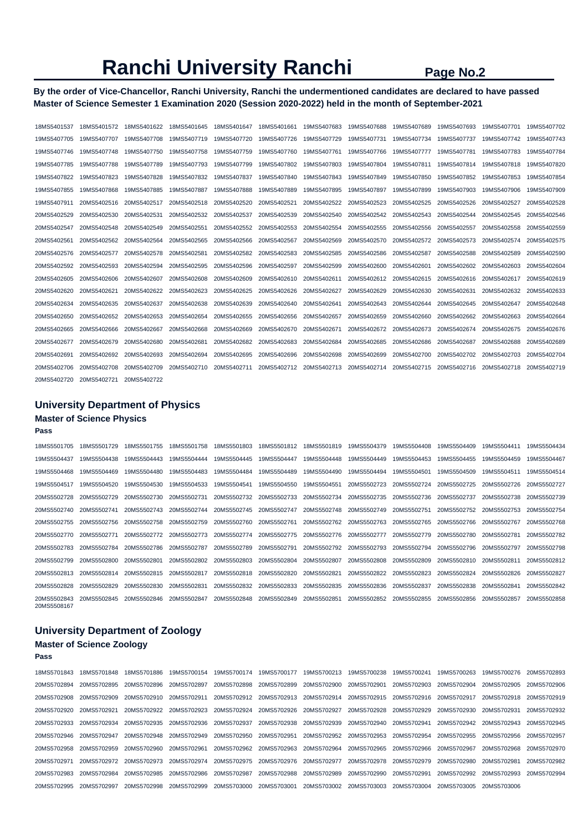**By the order of Vice-Chancellor, Ranchi University, Ranchi the undermentioned candidates are declared to have passed Master of Science Semester 1 Examination 2020 (Session 2020-2022) held in the month of September-2021** 

| 18MS5401537 | 18MS5401572 | 18MS5401622 | 18MS5401645 | 18MS5401647 | 18MS5401661 | 19MS5407683 | 19MS5407688 | 19MS5407689 | 19MS5407693 | 19MS5407701 | 19MS5407702 |
|-------------|-------------|-------------|-------------|-------------|-------------|-------------|-------------|-------------|-------------|-------------|-------------|
| 19MS5407705 | 19MS5407707 | 19MS5407708 | 19MS5407719 | 19MS5407720 | 19MS5407726 | 19MS5407729 | 19MS5407731 | 19MS5407734 | 19MS5407737 | 19MS5407742 | 19MS5407743 |
| 19MS5407746 | 19MS5407748 | 19MS5407750 | 19MS5407758 | 19MS5407759 | 19MS5407760 | 19MS5407761 | 19MS5407766 | 19MS5407777 | 19MS5407781 | 19MS5407783 | 19MS5407784 |
| 19MS5407785 | 19MS5407788 | 19MS5407789 | 19MS5407793 | 19MS5407799 | 19MS5407802 | 19MS5407803 | 19MS5407804 | 19MS5407811 | 19MS5407814 | 19MS5407818 | 19MS5407820 |
| 19MS5407822 | 19MS5407823 | 19MS5407828 | 19MS5407832 | 19MS5407837 | 19MS5407840 | 19MS5407843 | 19MS5407849 | 19MS5407850 | 19MS5407852 | 19MS5407853 | 19MS5407854 |
| 19MS5407855 | 19MS5407868 | 19MS5407885 | 19MS5407887 | 19MS5407888 | 19MS5407889 | 19MS5407895 | 19MS5407897 | 19MS5407899 | 19MS5407903 | 19MS5407906 | 19MS5407909 |
| 19MS5407911 | 20MS5402516 | 20MS5402517 | 20MS5402518 | 20MS5402520 | 20MS5402521 | 20MS5402522 | 20MS5402523 | 20MS5402525 | 20MS5402526 | 20MS5402527 | 20MS5402528 |
| 20MS5402529 | 20MS5402530 | 20MS5402531 | 20MS5402532 | 20MS5402537 | 20MS5402539 | 20MS5402540 | 20MS5402542 | 20MS5402543 | 20MS5402544 | 20MS5402545 | 20MS5402546 |
| 20MS5402547 | 20MS5402548 | 20MS5402549 | 20MS5402551 | 20MS5402552 | 20MS5402553 | 20MS5402554 | 20MS5402555 | 20MS5402556 | 20MS5402557 | 20MS5402558 | 20MS5402559 |
| 20MS5402561 | 20MS5402562 | 20MS5402564 | 20MS5402565 | 20MS5402566 | 20MS5402567 | 20MS5402569 | 20MS5402570 | 20MS5402572 | 20MS5402573 | 20MS5402574 | 20MS5402575 |
| 20MS5402576 | 20MS5402577 | 20MS5402578 | 20MS5402581 | 20MS5402582 | 20MS5402583 | 20MS5402585 | 20MS5402586 | 20MS5402587 | 20MS5402588 | 20MS5402589 | 20MS5402590 |
| 20MS5402592 | 20MS5402593 | 20MS5402594 | 20MS5402595 | 20MS5402596 | 20MS5402597 | 20MS5402599 | 20MS5402600 | 20MS5402601 | 20MS5402602 | 20MS5402603 | 20MS5402604 |
| 20MS5402605 | 20MS5402606 | 20MS5402607 | 20MS5402608 | 20MS5402609 | 20MS5402610 | 20MS5402611 | 20MS5402612 | 20MS5402615 | 20MS5402616 | 20MS5402617 | 20MS5402619 |
| 20MS5402620 | 20MS5402621 | 20MS5402622 | 20MS5402623 | 20MS5402625 | 20MS5402626 | 20MS5402627 | 20MS5402629 | 20MS5402630 | 20MS5402631 | 20MS5402632 | 20MS5402633 |
| 20MS5402634 | 20MS5402635 | 20MS5402637 | 20MS5402638 | 20MS5402639 | 20MS5402640 | 20MS5402641 | 20MS5402643 | 20MS5402644 | 20MS5402645 | 20MS5402647 | 20MS5402648 |
| 20MS5402650 | 20MS5402652 | 20MS5402653 | 20MS5402654 | 20MS5402655 | 20MS5402656 | 20MS5402657 | 20MS5402659 | 20MS5402660 | 20MS5402662 | 20MS5402663 | 20MS5402664 |
| 20MS5402665 | 20MS5402666 | 20MS5402667 | 20MS5402668 | 20MS5402669 | 20MS5402670 | 20MS5402671 | 20MS5402672 | 20MS5402673 | 20MS5402674 | 20MS5402675 | 20MS5402676 |
| 20MS5402677 | 20MS5402679 | 20MS5402680 | 20MS5402681 | 20MS5402682 | 20MS5402683 | 20MS5402684 | 20MS5402685 | 20MS5402686 | 20MS5402687 | 20MS5402688 | 20MS5402689 |
| 20MS5402691 | 20MS5402692 | 20MS5402693 | 20MS5402694 | 20MS5402695 | 20MS5402696 | 20MS5402698 | 20MS5402699 | 20MS5402700 | 20MS5402702 | 20MS5402703 | 20MS5402704 |
| 20MS5402706 | 20MS5402708 | 20MS5402709 | 20MS5402710 | 20MS5402711 | 20MS5402712 | 20MS5402713 | 20MS5402714 | 20MS5402715 | 20MS5402716 | 20MS5402718 | 20MS5402719 |
| 20MS5402720 | 20MS5402721 | 20MS5402722 |             |             |             |             |             |             |             |             |             |

# **University Department of Physics Master of Science Physics**

# **Pass**

| 18MS5501705                | 18MS5501729 | 18MS5501755 | 18MS5501758 | 18MS5501803 | 18MS5501812 | 18MS5501819 | 19MS5504379 | 19MS5504408 | 19MS5504409 | 19MS5504411 | 19MS5504434 |
|----------------------------|-------------|-------------|-------------|-------------|-------------|-------------|-------------|-------------|-------------|-------------|-------------|
| 19MS5504437                | 19MS5504438 | 19MS5504443 | 19MS5504444 | 19MS5504445 | 19MS5504447 | 19MS5504448 | 19MS5504449 | 19MS5504453 | 19MS5504455 | 19MS5504459 | 19MS5504467 |
| 19MS5504468                | 19MS5504469 | 19MS5504480 | 19MS5504483 | 19MS5504484 | 19MS5504489 | 19MS5504490 | 19MS5504494 | 19MS5504501 | 19MS5504509 | 19MS5504511 | 19MS5504514 |
| 19MS5504517                | 19MS5504520 | 19MS5504530 | 19MS5504533 | 19MS5504541 | 19MS5504550 | 19MS5504551 | 20MS5502723 | 20MS5502724 | 20MS5502725 | 20MS5502726 | 20MS5502727 |
| 20MS5502728                | 20MS5502729 | 20MS5502730 | 20MS5502731 | 20MS5502732 | 20MS5502733 | 20MS5502734 | 20MS5502735 | 20MS5502736 | 20MS5502737 | 20MS5502738 | 20MS5502739 |
| 20MS5502740                | 20MS5502741 | 20MS5502743 | 20MS5502744 | 20MS5502745 | 20MS5502747 | 20MS5502748 | 20MS5502749 | 20MS5502751 | 20MS5502752 | 20MS5502753 | 20MS5502754 |
| 20MS5502755                | 20MS5502756 | 20MS5502758 | 20MS5502759 | 20MS5502760 | 20MS5502761 | 20MS5502762 | 20MS5502763 | 20MS5502765 | 20MS5502766 | 20MS5502767 | 20MS5502768 |
| 20MS5502770                | 20MS5502771 | 20MS5502772 | 20MS5502773 | 20MS5502774 | 20MS5502775 | 20MS5502776 | 20MS5502777 | 20MS5502779 | 20MS5502780 | 20MS5502781 | 20MS5502782 |
| 20MS5502783                | 20MS5502784 | 20MS5502786 | 20MS5502787 | 20MS5502789 | 20MS5502791 | 20MS5502792 | 20MS5502793 | 20MS5502794 | 20MS5502796 | 20MS5502797 | 20MS5502798 |
| 20MS5502799                | 20MS5502800 | 20MS5502801 | 20MS5502802 | 20MS5502803 | 20MS5502804 | 20MS5502807 | 20MS5502808 | 20MS5502809 | 20MS5502810 | 20MS5502811 | 20MS5502812 |
| 20MS5502813                | 20MS5502814 | 20MS5502815 | 20MS5502817 | 20MS5502818 | 20MS5502820 | 20MS5502821 | 20MS5502822 | 20MS5502823 | 20MS5502824 | 20MS5502826 | 20MS5502827 |
| 20MS5502828                | 20MS5502829 | 20MS5502830 | 20MS5502831 | 20MS5502832 | 20MS5502833 | 20MS5502835 | 20MS5502836 | 20MS5502837 | 20MS5502838 | 20MS5502841 | 20MS5502842 |
| 20MS5502843<br>20MS5508167 | 20MS5502845 | 20MS5502846 | 20MS5502847 | 20MS5502848 | 20MS5502849 | 20MS5502851 | 20MS5502852 | 20MS5502855 | 20MS5502856 | 20MS5502857 | 20MS5502858 |

# **University Department of Zoology Master of Science Zoology**

## **Pass**

| 18MS5701843 | 18MS5701848 | 18MS5701886             | 19MS5700154             | 19MS5700174 | 19MS5700177 | 19MS5700213 | 19MS5700238             | 19MS5700241 | 19MS5700263 | 19MS5700276 | 20MS5702893 |
|-------------|-------------|-------------------------|-------------------------|-------------|-------------|-------------|-------------------------|-------------|-------------|-------------|-------------|
| 20MS5702894 | 20MS5702895 | 20MS5702896             | 20MS5702897             | 20MS5702898 | 20MS5702899 | 20MS5702900 | 20MS5702901             | 20MS5702903 | 20MS5702904 | 20MS5702905 | 20MS5702906 |
| 20MS5702908 | 20MS5702909 | 20MS5702910 20MS5702911 |                         | 20MS5702912 | 20MS5702913 |             | 20MS5702914 20MS5702915 | 20MS5702916 | 20MS5702917 | 20MS5702918 | 20MS5702919 |
| 20MS5702920 | 20MS5702921 |                         | 20MS5702922 20MS5702923 | 20MS5702924 | 20MS5702926 | 20MS5702927 | 20MS5702928             | 20MS5702929 | 20MS5702930 | 20MS5702931 | 20MS5702932 |
| 20MS5702933 | 20MS5702934 | 20MS5702935             | 20MS5702936             | 20MS5702937 | 20MS5702938 | 20MS5702939 | 20MS5702940             | 20MS5702941 | 20MS5702942 | 20MS5702943 | 20MS5702945 |
| 20MS5702946 | 20MS5702947 | 20MS5702948             | 20MS5702949             | 20MS5702950 | 20MS5702951 |             | 20MS5702952 20MS5702953 | 20MS5702954 | 20MS5702955 | 20MS5702956 | 20MS5702957 |
| 20MS5702958 | 20MS5702959 | 20MS5702960             | 20MS5702961             | 20MS5702962 | 20MS5702963 | 20MS5702964 | 20MS5702965             | 20MS5702966 | 20MS5702967 | 20MS5702968 | 20MS5702970 |
| 20MS5702971 | 20MS5702972 | 20MS5702973             | 20MS5702974             | 20MS5702975 | 20MS5702976 | 20MS5702977 | 20MS5702978             | 20MS5702979 | 20MS5702980 | 20MS5702981 | 20MS5702982 |
| 20MS5702983 | 20MS5702984 | 20MS5702985             | 20MS5702986             | 20MS5702987 | 20MS5702988 | 20MS5702989 | 20MS5702990             | 20MS5702991 | 20MS5702992 | 20MS5702993 | 20MS5702994 |
| 20MS5702995 | 20MS5702997 | 20MS5702998             | 20MS5702999             | 20MS5703000 | 20MS5703001 | 20MS5703002 | 20MS5703003             | 20MS5703004 | 20MS5703005 | 20MS5703006 |             |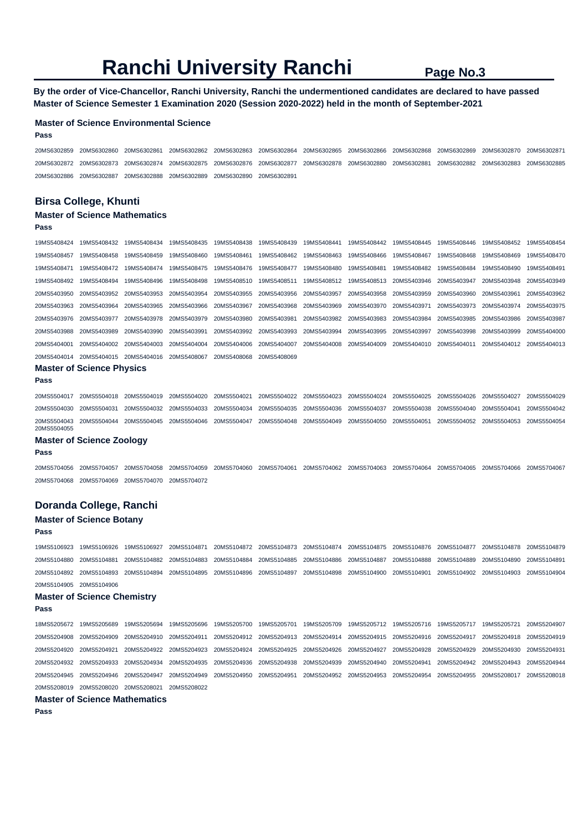**By the order of Vice-Chancellor, Ranchi University, Ranchi the undermentioned candidates are declared to have passed Master of Science Semester 1 Examination 2020 (Session 2020-2022) held in the month of September-2021** 

### **Master of Science Environmental Science**

#### **Pass**

**Pass** 

20MS6302859 20MS6302860 20MS6302861 20MS6302862 20MS6302863 20MS6302864 20MS6302865 20MS6302866 20MS6302868 20MS6302869 20MS6302870 20MS6302871 20MS6302872 20MS6302873 20MS6302874 20MS6302875 20MS6302876 20MS6302877 20MS6302878 20MS6302880 20MS6302881 20MS6302882 20MS6302883 20MS6302885 20MS6302886 20MS6302887 20MS6302888 20MS6302889 20MS6302890 20MS6302891

## **Birsa College, Khunti**

# **Master of Science Mathematics**

19MS5408424 19MS5408432 19MS5408434 19MS5408435 19MS5408438 19MS5408439 19MS5408441 19MS5408442 19MS5408445 19MS5408446 19MS5408452 19MS5408454 19MS5408457 19MS5408458 19MS5408459 19MS5408460 19MS5408461 19MS5408462 19MS5408463 19MS5408466 19MS5408467 19MS5408468 19MS5408469 19MS5408470 19MS5408471 19MS5408472 19MS5408474 19MS5408475 19MS5408476 19MS5408477 19MS5408480 19MS5408481 19MS5408482 19MS5408484 19MS5408490 19MS5408491 19MS5408492 19MS5408494 19MS5408496 19MS5408498 19MS5408510 19MS5408511 19MS5408512 19MS5408513 20MS5403946 20MS5403947 20MS5403948 20MS5403949 20MS5403950 20MS5403952 20MS5403953 20MS5403954 20MS5403955 20MS5403956 20MS5403957 20MS5403958 20MS5403959 20MS5403960 20MS5403961 20MS5403962 20MS5403963 20MS5403964 20MS5403965 20MS5403966 20MS5403967 20MS5403968 20MS5403969 20MS5403970 20MS5403971 20MS5403973 20MS5403974 20MS5403975 20MS5403976 20MS5403977 20MS5403978 20MS5403979 20MS5403980 20MS5403981 20MS5403982 20MS5403983 20MS5403984 20MS5403985 20MS5403986 20MS5403987 20MS5403988 20MS5403989 20MS5403990 20MS5403991 20MS5403992 20MS5403993 20MS5403994 20MS5403995 20MS5403997 20MS5403998 20MS5403999 20MS5404000 20MS5404001 20MS5404002 20MS5404003 20MS5404004 20MS5404006 20MS5404007 20MS5404008 20MS5404009 20MS5404010 20MS5404011 20MS5404012 20MS5404013 20MS5404014 20MS5404015 20MS5404016 20MS5408067 20MS5408068 20MS5408069 **Master of Science Physics Pass** 

20MS5504017 20MS5504018 20MS5504019 20MS5504020 20MS5504021 20MS5504022 20MS5504023 20MS5504024 20MS5504025 20MS5504026 20MS5504027 20MS5504029 20MS5504030 20MS5504031 20MS5504032 20MS5504033 20MS5504034 20MS5504035 20MS5504036 20MS5504037 20MS5504038 20MS5504040 20MS5504041 20MS5504042 20MS5504043 20MS5504044 20MS5504045 20MS5504046 20MS5504047 20MS5504048 20MS5504049 20MS5504050 20MS5504051 20MS5504052 20MS5504053 20MS5504054 20MS5504055

### **Master of Science Zoology**

**Pass** 

20MS5704056 20MS5704057 20MS5704058 20MS5704059 20MS5704060 20MS5704061 20MS5704062 20MS5704063 20MS5704064 20MS5704065 20MS5704066 20MS5704067 20MS5704068 20MS5704069 20MS5704070 20MS5704072

## **Doranda College, Ranchi**

### **Master of Science Botany**

### **Pass**

19MS5106923 19MS5106926 19MS5106927 20MS5104871 20MS5104872 20MS5104873 20MS5104874 20MS5104875 20MS5104876 20MS5104877 20MS5104878 20MS5104879 20MS5104880 20MS5104881 20MS5104882 20MS5104883 20MS5104884 20MS5104885 20MS5104886 20MS5104887 20MS5104888 20MS5104889 20MS5104890 20MS5104891 20MS5104892 20MS5104893 20MS5104894 20MS5104895 20MS5104896 20MS5104897 20MS5104898 20MS5104900 20MS5104901 20MS5104902 20MS5104903 20MS5104904 20MS5104905 20MS5104906

#### **Master of Science Chemistry**

**Pass** 

18MS5205672 19MS5205689 19MS5205694 19MS5205696 19MS5205700 19MS5205701 19MS5205709 19MS5205712 19MS5205716 19MS5205717 19MS5205721 20MS5204907 20MS5204908 20MS5204909 20MS5204910 20MS5204911 20MS5204912 20MS5204913 20MS5204914 20MS5204915 20MS5204916 20MS5204917 20MS5204918 20MS5204919 20MS5204920 20MS5204921 20MS5204922 20MS5204923 20MS5204924 20MS5204925 20MS5204926 20MS5204927 20MS5204928 20MS5204929 20MS5204930 20MS5204931 20MS5204932 20MS5204933 20MS5204934 20MS5204935 20MS5204936 20MS5204938 20MS5204939 20MS5204940 20MS5204941 20MS5204942 20MS5204943 20MS5204944 20MS5204945 20MS5204946 20MS5204947 20MS5204949 20MS5204950 20MS5204951 20MS5204952 20MS5204953 20MS5204954 20MS5204955 20MS5208017 20MS5208018 20MS5208019 20MS5208020 20MS5208021 20MS5208022

#### **Master of Science Mathematics**

**Pass**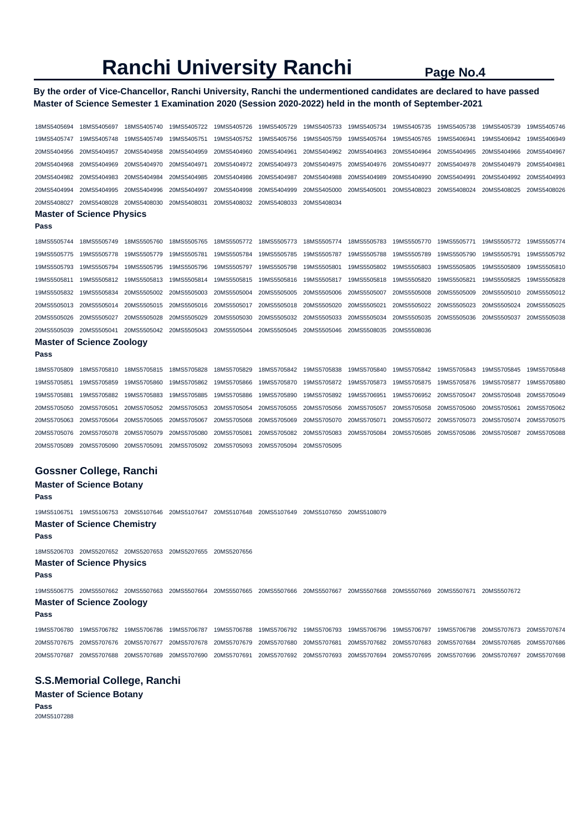# **By the order of Vice-Chancellor, Ranchi University, Ranchi the undermentioned candidates are declared to have passed Master of Science Semester 1 Examination 2020 (Session 2020-2022) held in the month of September-2021**

| 18MS5405694 | 18MS5405697                                                                                                 | 18MS5405740 | 19MS5405722 | 19MS5405726 | 19MS5405729 | 19MS5405733                         | 19MS5405734 | 19MS5405735 | 19MS5405738             | 19MS5405739 | 19MS5405746 |
|-------------|-------------------------------------------------------------------------------------------------------------|-------------|-------------|-------------|-------------|-------------------------------------|-------------|-------------|-------------------------|-------------|-------------|
| 19MS5405747 | 19MS5405748                                                                                                 | 19MS5405749 | 19MS5405751 | 19MS5405752 | 19MS5405756 | 19MS5405759                         | 19MS5405764 | 19MS5405765 | 19MS5406941             | 19MS5406942 | 19MS5406949 |
| 20MS5404956 | 20MS5404957                                                                                                 | 20MS5404958 | 20MS5404959 | 20MS5404960 | 20MS5404961 | 20MS5404962                         | 20MS5404963 | 20MS5404964 | 20MS5404965             | 20MS5404966 | 20MS5404967 |
| 20MS5404968 | 20MS5404969                                                                                                 | 20MS5404970 | 20MS5404971 | 20MS5404972 | 20MS5404973 | 20MS5404975                         | 20MS5404976 | 20MS5404977 | 20MS5404978             | 20MS5404979 | 20MS5404981 |
| 20MS5404982 | 20MS5404983                                                                                                 | 20MS5404984 | 20MS5404985 | 20MS5404986 | 20MS5404987 | 20MS5404988                         | 20MS5404989 | 20MS5404990 | 20MS5404991             | 20MS5404992 | 20MS5404993 |
| 20MS5404994 | 20MS5404995                                                                                                 | 20MS5404996 | 20MS5404997 | 20MS5404998 | 20MS5404999 | 20MS5405000                         | 20MS5405001 | 20MS5408023 | 20MS5408024             | 20MS5408025 | 20MS5408026 |
| 20MS5408027 | 20MS5408028                                                                                                 | 20MS5408030 | 20MS5408031 | 20MS5408032 | 20MS5408033 | 20MS5408034                         |             |             |                         |             |             |
|             | <b>Master of Science Physics</b>                                                                            |             |             |             |             |                                     |             |             |                         |             |             |
| Pass        |                                                                                                             |             |             |             |             |                                     |             |             |                         |             |             |
| 18MS5505744 | 18MS5505749                                                                                                 | 18MS5505760 | 18MS5505765 | 18MS5505772 | 18MS5505773 | 18MS5505774                         | 18MS5505783 | 19MS5505770 | 19MS5505771             | 19MS5505772 | 19MS5505774 |
| 19MS5505775 | 19MS5505778                                                                                                 | 19MS5505779 | 19MS5505781 | 19MS5505784 | 19MS5505785 | 19MS5505787                         | 19MS5505788 | 19MS5505789 | 19MS5505790             | 19MS5505791 | 19MS5505792 |
| 19MS5505793 | 19MS5505794                                                                                                 | 19MS5505795 | 19MS5505796 | 19MS5505797 | 19MS5505798 | 19MS5505801                         | 19MS5505802 | 19MS5505803 | 19MS5505805             | 19MS5505809 | 19MS5505810 |
| 19MS5505811 | 19MS5505812                                                                                                 | 19MS5505813 | 19MS5505814 | 19MS5505815 | 19MS5505816 | 19MS5505817                         | 19MS5505818 | 19MS5505820 | 19MS5505821             | 19MS5505825 | 19MS5505828 |
| 19MS5505832 | 19MS5505834                                                                                                 | 20MS5505002 | 20MS5505003 | 20MS5505004 | 20MS5505005 | 20MS5505006                         | 20MS5505007 | 20MS5505008 | 20MS5505009             | 20MS5505010 | 20MS5505012 |
| 20MS5505013 | 20MS5505014                                                                                                 | 20MS5505015 | 20MS5505016 | 20MS5505017 | 20MS5505018 | 20MS5505020                         | 20MS5505021 | 20MS5505022 | 20MS5505023             | 20MS5505024 | 20MS5505025 |
| 20MS5505026 | 20MS5505027                                                                                                 | 20MS5505028 | 20MS5505029 | 20MS5505030 | 20MS5505032 | 20MS5505033                         | 20MS5505034 | 20MS5505035 | 20MS5505036             | 20MS5505037 | 20MS5505038 |
| 20MS5505039 | 20MS5505041                                                                                                 | 20MS5505042 | 20MS5505043 | 20MS5505044 | 20MS5505045 | 20MS5505046                         | 20MS5508035 | 20MS5508036 |                         |             |             |
|             | <b>Master of Science Zoology</b>                                                                            |             |             |             |             |                                     |             |             |                         |             |             |
| Pass        |                                                                                                             |             |             |             |             |                                     |             |             |                         |             |             |
| 18MS5705809 | 18MS5705810                                                                                                 | 18MS5705815 | 18MS5705828 | 18MS5705829 | 18MS5705842 | 19MS5705838                         | 19MS5705840 | 19MS5705842 | 19MS5705843             | 19MS5705845 | 19MS5705848 |
| 19MS5705851 | 19MS5705859                                                                                                 | 19MS5705860 | 19MS5705862 | 19MS5705866 | 19MS5705870 | 19MS5705872                         | 19MS5705873 | 19MS5705875 | 19MS5705876             | 19MS5705877 | 19MS5705880 |
| 19MS5705881 | 19MS5705882                                                                                                 | 19MS5705883 | 19MS5705885 | 19MS5705886 | 19MS5705890 | 19MS5705892                         | 19MS5706951 | 19MS5706952 | 20MS5705047             | 20MS5705048 | 20MS5705049 |
| 20MS5705050 | 20MS5705051                                                                                                 | 20MS5705052 | 20MS5705053 | 20MS5705054 | 20MS5705055 | 20MS5705056                         | 20MS5705057 | 20MS5705058 | 20MS5705060             | 20MS5705061 | 20MS5705062 |
| 20MS5705063 | 20MS5705064                                                                                                 | 20MS5705065 | 20MS5705067 | 20MS5705068 | 20MS5705069 | 20MS5705070                         | 20MS5705071 | 20MS5705072 | 20MS5705073             | 20MS5705074 | 20MS5705075 |
| 20MS5705076 | 20MS5705078                                                                                                 | 20MS5705079 | 20MS5705080 | 20MS5705081 | 20MS5705082 | 20MS5705083                         | 20MS5705084 | 20MS5705085 | 20MS5705086             | 20MS5705087 | 20MS5705088 |
| 20MS5705089 | 20MS5705090                                                                                                 | 20MS5705091 | 20MS5705092 | 20MS5705093 | 20MS5705094 | 20MS5705095                         |             |             |                         |             |             |
|             | <b>Gossner College, Ranchi</b>                                                                              |             |             |             |             |                                     |             |             |                         |             |             |
|             | <b>Master of Science Botany</b>                                                                             |             |             |             |             |                                     |             |             |                         |             |             |
| Pass        |                                                                                                             |             |             |             |             |                                     |             |             |                         |             |             |
| 19MS5106751 | 19MS5106753 20MS5107646                                                                                     |             | 20MS5107647 | 20MS5107648 | 20MS5107649 | 20MS5107650                         | 20MS5108079 |             |                         |             |             |
|             | <b>Master of Science Chemistry</b>                                                                          |             |             |             |             |                                     |             |             |                         |             |             |
| Pass        |                                                                                                             |             |             |             |             |                                     |             |             |                         |             |             |
| 18MS5206703 | 20MS5207652 20MS5207653                                                                                     |             | 20MS5207655 | 20MS5207656 |             |                                     |             |             |                         |             |             |
|             | <b>Master of Science Physics</b>                                                                            |             |             |             |             |                                     |             |             |                         |             |             |
| Pass        |                                                                                                             |             |             |             |             |                                     |             |             |                         |             |             |
|             | 19MS5506775 20MS5507662 20MS5507663 20MS5507664 20MS5507665 20MS5507666 20MS5507667 20MS5507668 20MS5507669 |             |             |             |             |                                     |             |             | 20MS5507671 20MS5507672 |             |             |
|             | <b>Master of Science Zoology</b>                                                                            |             |             |             |             |                                     |             |             |                         |             |             |
| Pass        |                                                                                                             |             |             |             |             |                                     |             |             |                         |             |             |
| 19MS5706780 |                                                                                                             |             | 19MS5706787 | 19MS5706788 | 19MS5706792 | 19MS5706793                         | 19MS5706796 | 19MS5706797 | 19MS5706798             | 20MS5707673 | 20MS5707674 |
| 20MS5707675 | 20MS5707676 20MS5707677                                                                                     |             | 20MS5707678 | 20MS5707679 | 20MS5707680 | 20MS5707681                         | 20MS5707682 | 20MS5707683 | 20MS5707684             | 20MS5707685 | 20MS5707686 |
|             |                                                                                                             |             |             |             |             | 20MS5707692 20MS5707693 20MS5707694 |             | 20MS5707695 | 20MS5707696             | 20MS5707697 | 20MS5707698 |
|             | <b>S.S.Memorial College, Ranchi</b>                                                                         |             |             |             |             |                                     |             |             |                         |             |             |

# **Master of Science Botany**

**Pass**  20MS5107288